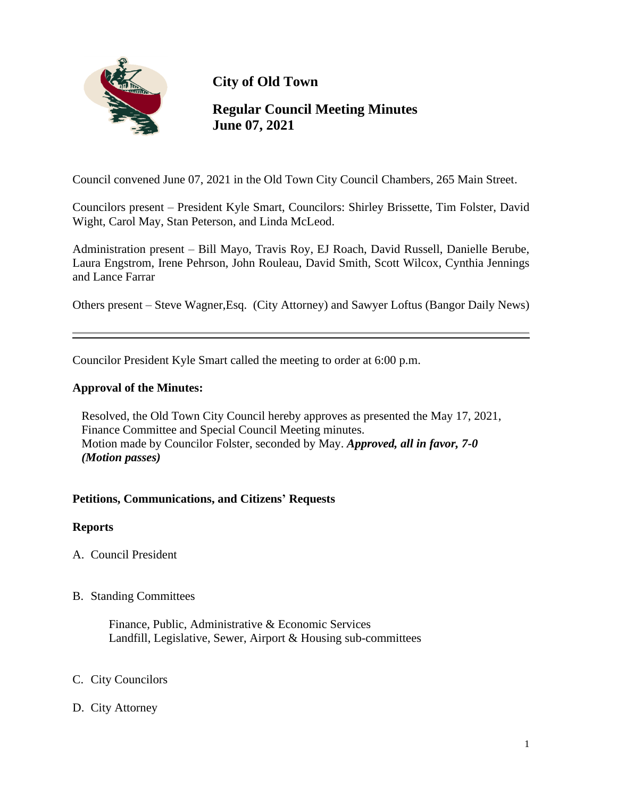

**City of Old Town**

# **Regular Council Meeting Minutes June 07, 2021**

Council convened June 07, 2021 in the Old Town City Council Chambers, 265 Main Street.

Councilors present – President Kyle Smart, Councilors: Shirley Brissette, Tim Folster, David Wight, Carol May, Stan Peterson, and Linda McLeod.

Administration present – Bill Mayo, Travis Roy, EJ Roach, David Russell, Danielle Berube, Laura Engstrom, Irene Pehrson, John Rouleau, David Smith, Scott Wilcox, Cynthia Jennings and Lance Farrar

Others present – Steve Wagner,Esq. (City Attorney) and Sawyer Loftus (Bangor Daily News)

Councilor President Kyle Smart called the meeting to order at 6:00 p.m.

### **Approval of the Minutes:**

Resolved, the Old Town City Council hereby approves as presented the May 17, 2021, Finance Committee and Special Council Meeting minutes. Motion made by Councilor Folster, seconded by May. *Approved, all in favor, 7-0 (Motion passes)*

#### **Petitions, Communications, and Citizens' Requests**

#### **Reports**

- A. Council President
- B. Standing Committees

 Finance, Public, Administrative & Economic Services Landfill, Legislative, Sewer, Airport & Housing sub-committees

- C. City Councilors
- D. City Attorney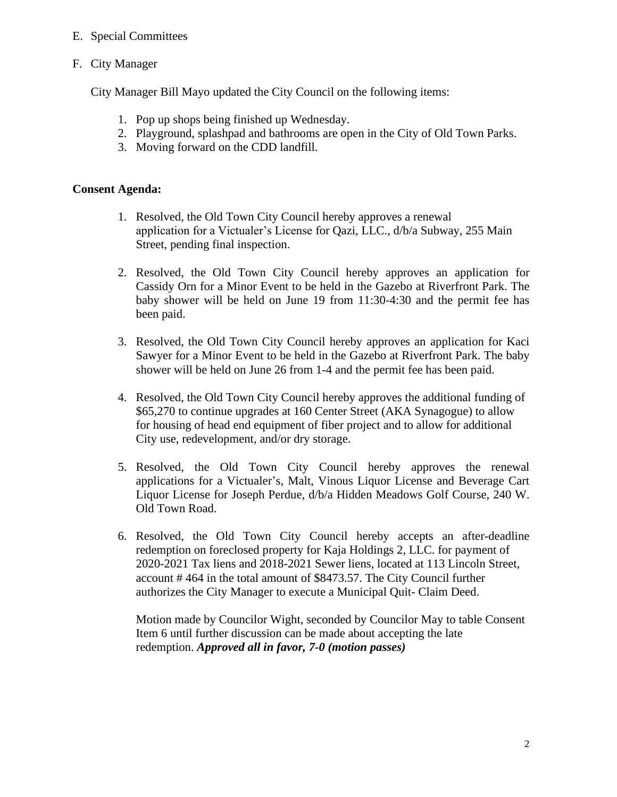## E. Special Committees

F. City Manager

City Manager Bill Mayo updated the City Council on the following items:

- 1. Pop up shops being finished up Wednesday.
- 2. Playground, splashpad and bathrooms are open in the City of Old Town Parks.
- 3. Moving forward on the CDD landfill.

#### **Consent Agenda:**

- 1. Resolved, the Old Town City Council hereby approves a renewal application for a Victualer's License for Qazi, LLC., d/b/a Subway, 255 Main Street, pending final inspection.
- 2. Resolved, the Old Town City Council hereby approves an application for Cassidy Orn for a Minor Event to be held in the Gazebo at Riverfront Park. The baby shower will be held on June 19 from 11:30-4:30 and the permit fee has been paid.
- 3. Resolved, the Old Town City Council hereby approves an application for Kaci Sawyer for a Minor Event to be held in the Gazebo at Riverfront Park. The baby shower will be held on June 26 from 1-4 and the permit fee has been paid.
- 4. Resolved, the Old Town City Council hereby approves the additional funding of \$65,270 to continue upgrades at 160 Center Street (AKA Synagogue) to allow for housing of head end equipment of fiber project and to allow for additional City use, redevelopment, and/or dry storage.
- 5. Resolved, the Old Town City Council hereby approves the renewal applications for a Victualer's, Malt, Vinous Liquor License and Beverage Cart Liquor License for Joseph Perdue, d/b/a Hidden Meadows Golf Course, 240 W. Old Town Road.
- 6. Resolved, the Old Town City Council hereby accepts an after-deadline redemption on foreclosed property for Kaja Holdings 2, LLC. for payment of 2020-2021 Tax liens and 2018-2021 Sewer liens, located at 113 Lincoln Street, account # 464 in the total amount of \$8473.57. The City Council further authorizes the City Manager to execute a Municipal Quit- Claim Deed.

 Motion made by Councilor Wight, seconded by Councilor May to table Consent Item 6 until further discussion can be made about accepting the late redemption. *Approved all in favor, 7-0 (motion passes)*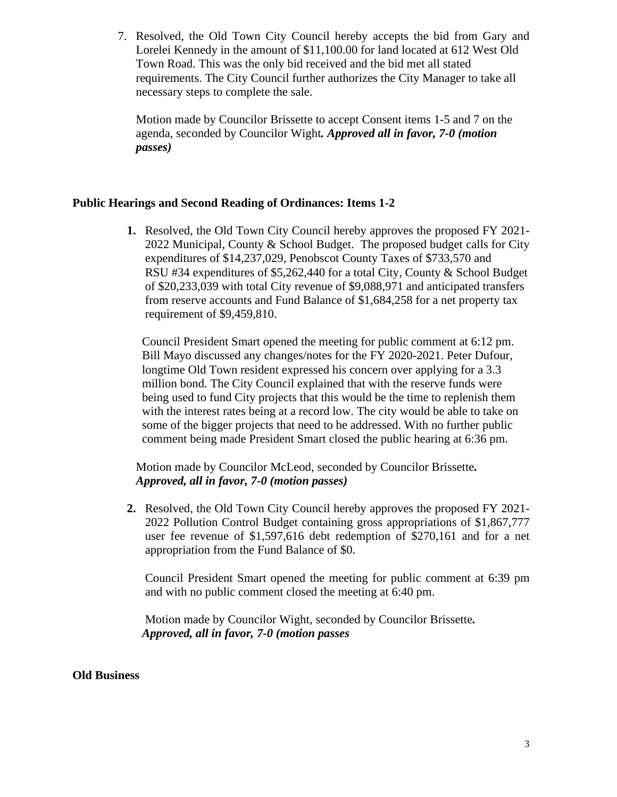7. Resolved, the Old Town City Council hereby accepts the bid from Gary and Lorelei Kennedy in the amount of \$11,100.00 for land located at 612 West Old Town Road. This was the only bid received and the bid met all stated requirements. The City Council further authorizes the City Manager to take all necessary steps to complete the sale.

 Motion made by Councilor Brissette to accept Consent items 1-5 and 7 on the agenda, seconded by Councilor Wight*. Approved all in favor, 7-0 (motion passes)*

### **Public Hearings and Second Reading of Ordinances: Items 1-2**

**1.** Resolved, the Old Town City Council hereby approves the proposed FY 2021- 2022 Municipal, County & School Budget. The proposed budget calls for City expenditures of \$14,237,029, Penobscot County Taxes of \$733,570 and RSU #34 expenditures of \$5,262,440 for a total City, County & School Budget of \$20,233,039 with total City revenue of \$9,088,971 and anticipated transfers from reserve accounts and Fund Balance of \$1,684,258 for a net property tax requirement of \$9,459,810.

 Council President Smart opened the meeting for public comment at 6:12 pm. Bill Mayo discussed any changes/notes for the FY 2020-2021. Peter Dufour, longtime Old Town resident expressed his concern over applying for a 3.3 million bond. The City Council explained that with the reserve funds were being used to fund City projects that this would be the time to replenish them with the interest rates being at a record low. The city would be able to take on some of the bigger projects that need to be addressed. With no further public comment being made President Smart closed the public hearing at 6:36 pm.

 Motion made by Councilor McLeod, seconded by Councilor Brissette*. Approved, all in favor, 7-0 (motion passes)*

**2.** Resolved, the Old Town City Council hereby approves the proposed FY 2021- 2022 Pollution Control Budget containing gross appropriations of \$1,867,777 user fee revenue of \$1,597,616 debt redemption of \$270,161 and for a net appropriation from the Fund Balance of \$0.

Council President Smart opened the meeting for public comment at 6:39 pm and with no public comment closed the meeting at 6:40 pm.

 Motion made by Councilor Wight, seconded by Councilor Brissette*. Approved, all in favor, 7-0 (motion passes*

#### **Old Business**